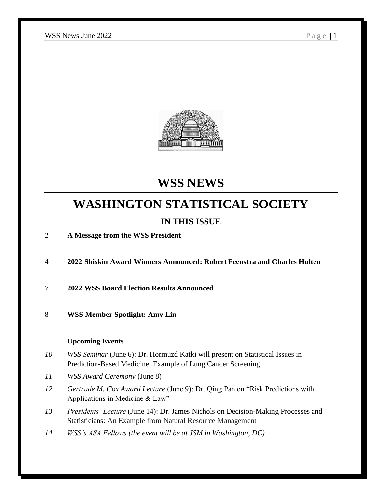

# **WSS NEWS**

# **WASHINGTON STATISTICAL SOCIETY**

# **IN THIS ISSUE**

2 **A Message from the WSS President**

4 **2022 Shiskin Award Winners Announced: Robert Feenstra and Charles Hulten**

7 **2022 WSS Board Election Results Announced**

8 **WSS Member Spotlight: Amy Lin**

#### **Upcoming Events**

- *10 WSS Seminar* (June 6): Dr. Hormuzd Katki will present on Statistical Issues in Prediction-Based Medicine: Example of Lung Cancer Screening
- *11 WSS Award Ceremony* (June 8)
- *12 Gertrude M. Cox Award Lecture* (June 9): Dr. Qing Pan on "Risk Predictions with Applications in Medicine & Law"
- *13 Presidents' Lecture* (June 14): Dr. James Nichols on Decision-Making Processes and Statisticians: An Example from Natural Resource Management
- *14 WSS's ASA Fellows (the event will be at JSM in Washington, DC)*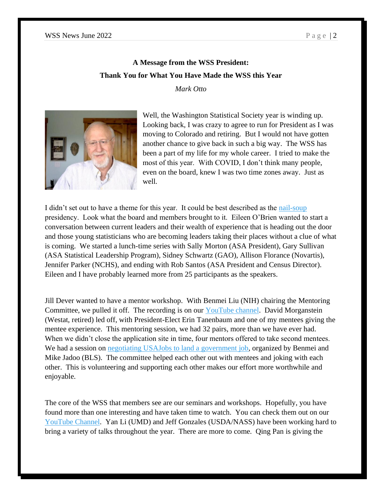# **A Message from the WSS President: Thank You for What You Have Made the WSS this Year**

*Mark Otto*



Well, the Washington Statistical Society year is winding up. Looking back, I was crazy to agree to run for President as I was moving to Colorado and retiring. But I would not have gotten another chance to give back in such a big way. The WSS has been a part of my life for my whole career. I tried to make the most of this year. With COVID, I don't think many people, even on the board, knew I was two time zones away. Just as well.

I didn't set out to have a theme for this year. It could be best described as the [nail-soup](https://www.stonesoupgroup.com/ss_fable.html) presidency. Look what the board and members brought to it. Eileen O'Brien wanted to start a conversation between current leaders and their wealth of experience that is heading out the door and those young statisticians who are becoming leaders taking their places without a clue of what is coming. We started a lunch-time series with Sally Morton (ASA President), Gary Sullivan (ASA Statistical Leadership Program), Sidney Schwartz (GAO), Allison Florance (Novartis), Jennifer Parker (NCHS), and ending with Rob Santos (ASA President and Census Director). Eileen and I have probably learned more from 25 participants as the speakers.

Jill Dever wanted to have a mentor workshop. With Benmei Liu (NIH) chairing the Mentoring Committee, we pulled it off. The recording is on our [YouTube channel.](https://youtu.be/AyE-eKjaBCU) David Morganstein (Westat, retired) led off, with President-Elect Erin Tanenbaum and one of my mentees giving the mentee experience. This mentoring session, we had 32 pairs, more than we have ever had. When we didn't close the application site in time, four mentors offered to take second mentees. We had a session on [negotiating USAJobs to land a government job,](https://youtu.be/lQvMDu-hxzo) organized by Benmei and Mike Jadoo (BLS). The committee helped each other out with mentees and joking with each other. This is volunteering and supporting each other makes our effort more worthwhile and enjoyable.

The core of the WSS that members see are our seminars and workshops. Hopefully, you have found more than one interesting and have taken time to watch. You can check them out on our [YouTube Channel.](https://www.youtube.com/channel/UCblmtGTydPN4978pSy55b3A/playlists?view_as=public) Yan Li (UMD) and Jeff Gonzales (USDA/NASS) have been working hard to bring a variety of talks throughout the year. There are more to come. Qing Pan is giving the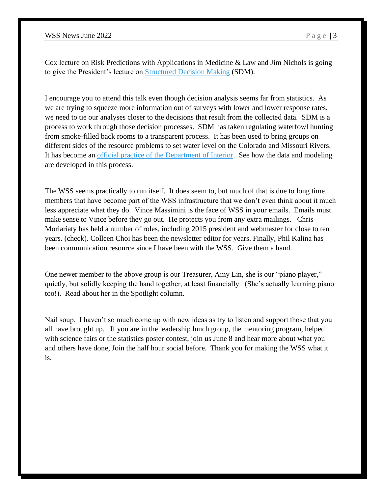Cox lecture on Risk Predictions with Applications in Medicine & Law and Jim Nichols is going to give the President's lecture on [Structured Decision Making](https://www.usgs.gov/centers/eesc/science/structured-decision-making) (SDM).

I encourage you to attend this talk even though decision analysis seems far from statistics. As we are trying to squeeze more information out of surveys with lower and lower response rates, we need to tie our analyses closer to the decisions that result from the collected data. SDM is a process to work through those decision processes. SDM has taken regulating waterfowl hunting from smoke-filled back rooms to a transparent process. It has been used to bring groups on different sides of the resource problems to set water level on the Colorado and Missouri Rivers. It has become an [official practice of the Department of Interior.](https://www.doi.gov/sites/doi.gov/files/migrated/ppa/upload/TechGuide.pdf) See how the data and modeling are developed in this process.

The WSS seems practically to run itself. It does seem to, but much of that is due to long time members that have become part of the WSS infrastructure that we don't even think about it much less appreciate what they do. Vince Massimini is the face of WSS in your emails. Emails must make sense to Vince before they go out. He protects you from any extra mailings. Chris Moriariaty has held a number of roles, including 2015 president and webmaster for close to ten years. (check). Colleen Choi has been the newsletter editor for years. Finally, Phil Kalina has been communication resource since I have been with the WSS. Give them a hand.

One newer member to the above group is our Treasurer, Amy Lin, she is our "piano player," quietly, but solidly keeping the band together, at least financially. (She's actually learning piano too!). Read about her in the Spotlight column.

Nail soup. I haven't so much come up with new ideas as try to listen and support those that you all have brought up. If you are in the leadership lunch group, the mentoring program, helped with science fairs or the statistics poster contest, join us June 8 and hear more about what you and others have done, Join the half hour social before. Thank you for making the WSS what it is.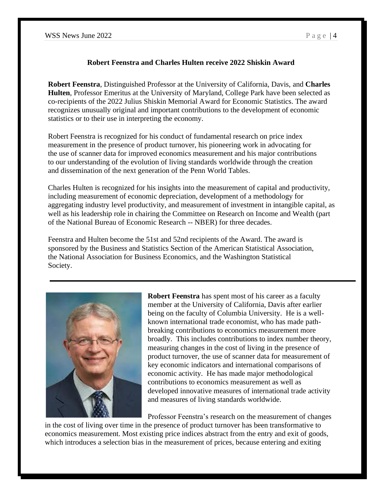### **Robert Feenstra and Charles Hulten receive 2022 Shiskin Award**

**Robert Feenstra**, Distinguished Professor at the University of California, Davis, and **Charles Hulten**, Professor Emeritus at the University of Maryland, College Park have been selected as co-recipients of the 2022 Julius Shiskin Memorial Award for Economic Statistics. The award recognizes unusually original and important contributions to the development of economic statistics or to their use in interpreting the economy.

Robert Feenstra is recognized for his conduct of fundamental research on price index measurement in the presence of product turnover, his pioneering work in advocating for the use of scanner data for improved economics measurement and his major contributions to our understanding of the evolution of living standards worldwide through the creation and dissemination of the next generation of the Penn World Tables.

Charles Hulten is recognized for his insights into the measurement of capital and productivity, including measurement of economic depreciation, development of a methodology for aggregating industry level productivity, and measurement of investment in intangible capital, as well as his leadership role in chairing the Committee on Research on Income and Wealth (part of the National Bureau of Economic Research -- NBER) for three decades.

Feenstra and Hulten become the 51st and 52nd recipients of the Award. The award is sponsored by the Business and Statistics Section of the American Statistical Association, the National Association for Business Economics, and the Washington Statistical Society.



**Robert Feenstra** has spent most of his career as a faculty member at the University of California, Davis after earlier being on the faculty of Columbia University. He is a wellknown international trade economist, who has made pathbreaking contributions to economics measurement more broadly. This includes contributions to index number theory, measuring changes in the cost of living in the presence of product turnover, the use of scanner data for measurement of key economic indicators and international comparisons of economic activity. He has made major methodological contributions to economics measurement as well as developed innovative measures of international trade activity and measures of living standards worldwide.

Professor Feenstra's research on the measurement of changes

in the cost of living over time in the presence of product turnover has been transformative to economics measurement. Most existing price indices abstract from the entry and exit of goods, which introduces a selection bias in the measurement of prices, because entering and exiting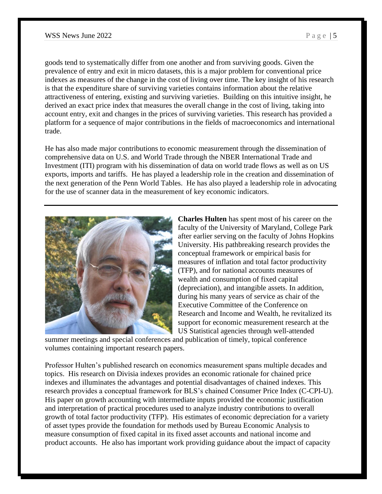goods tend to systematically differ from one another and from surviving goods. Given the prevalence of entry and exit in micro datasets, this is a major problem for conventional price indexes as measures of the change in the cost of living over time. The key insight of his research is that the expenditure share of surviving varieties contains information about the relative attractiveness of entering, existing and surviving varieties. Building on this intuitive insight, he derived an exact price index that measures the overall change in the cost of living, taking into account entry, exit and changes in the prices of surviving varieties. This research has provided a platform for a sequence of major contributions in the fields of macroeconomics and international trade.

He has also made major contributions to economic measurement through the dissemination of comprehensive data on U.S. and World Trade through the NBER International Trade and Investment (ITI) program with his dissemination of data on world trade flows as well as on US exports, imports and tariffs. He has played a leadership role in the creation and dissemination of the next generation of the Penn World Tables. He has also played a leadership role in advocating for the use of scanner data in the measurement of key economic indicators.



**Charles Hulten** has spent most of his career on the faculty of the University of Maryland, College Park after earlier serving on the faculty of Johns Hopkins University. His pathbreaking research provides the conceptual framework or empirical basis for measures of inflation and total factor productivity (TFP), and for national accounts measures of wealth and consumption of fixed capital (depreciation), and intangible assets. In addition, during his many years of service as chair of the Executive Committee of the Conference on Research and Income and Wealth, he revitalized its support for economic measurement research at the US Statistical agencies through well-attended

summer meetings and special conferences and publication of timely, topical conference volumes containing important research papers.

Professor Hulten's published research on economics measurement spans multiple decades and topics. His research on Divisia indexes provides an economic rationale for chained price indexes and illuminates the advantages and potential disadvantages of chained indexes. This research provides a conceptual framework for BLS's chained Consumer Price Index (C-CPI-U). His paper on growth accounting with intermediate inputs provided the economic justification and interpretation of practical procedures used to analyze industry contributions to overall growth of total factor productivity (TFP). His estimates of economic depreciation for a variety of asset types provide the foundation for methods used by Bureau Economic Analysis to measure consumption of fixed capital in its fixed asset accounts and national income and product accounts. He also has important work providing guidance about the impact of capacity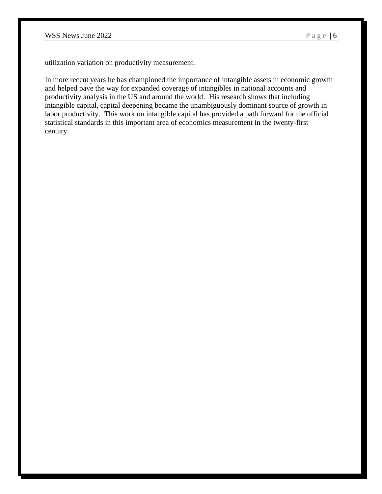utilization variation on productivity measurement.

In more recent years he has championed the importance of intangible assets in economic growth and helped pave the way for expanded coverage of intangibles in national accounts and productivity analysis in the US and around the world. His research shows that including intangible capital, capital deepening became the unambiguously dominant source of growth in labor productivity. This work on intangible capital has provided a path forward for the official statistical standards in this important area of economics measurement in the twenty-first century.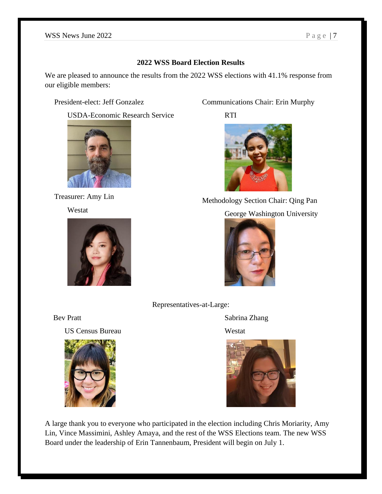# **2022 WSS Board Election Results**

We are pleased to announce the results from the 2022 WSS elections with 41.1% response from our eligible members:

President-elect: Jeff Gonzalez

USDA-Economic Research Service



Treasurer: Amy Lin

Westat



Communications Chair: Erin Murphy

RTI



Methodology Section Chair: Qing Pan

# George Washington University



Representatives-at-Large:

US Census Bureau Westat



Bev Pratt Sabrina Zhang



A large thank you to everyone who participated in the election including Chris Moriarity, Amy Lin, Vince Massimini, Ashley Amaya, and the rest of the WSS Elections team. The new WSS Board under the leadership of Erin Tannenbaum, President will begin on July 1.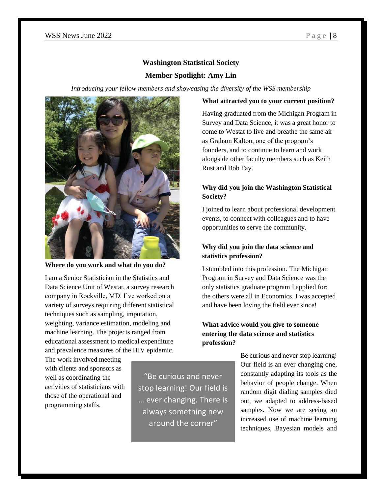#### **Washington Statistical Society**

#### **Member Spotlight: Amy Lin**

*Introducing your fellow members and showcasing the diversity of the WSS membership*



**Where do you work and what do you do?**

I am a Senior Statistician in the Statistics and Data Science Unit of Westat, a survey research company in Rockville, MD. I've worked on a variety of surveys requiring different statistical techniques such as sampling, imputation, weighting, variance estimation, modeling and machine learning. The projects ranged from educational assessment to medical expenditure and prevalence measures of the HIV epidemic.

The work involved meeting with clients and sponsors as well as coordinating the activities of statisticians with those of the operational and programming staffs.

"Be curious and never stop learning! Our field is … ever changing. There is always something new around the corner"

#### **What attracted you to your current position?**

Having graduated from the Michigan Program in Survey and Data Science, it was a great honor to come to Westat to live and breathe the same air as Graham Kalton, one of the program's founders, and to continue to learn and work alongside other faculty members such as Keith Rust and Bob Fay.

#### **Why did you join the Washington Statistical Society?**

I joined to learn about professional development events, to connect with colleagues and to have opportunities to serve the community.

# **Why did you join the data science and statistics profession?**

I stumbled into this profession. The Michigan Program in Survey and Data Science was the only statistics graduate program I applied for: the others were all in Economics. I was accepted and have been loving the field ever since!

## **What advice would you give to someone entering the data science and statistics profession?**

Be curious and never stop learning! Our field is an ever changing one, constantly adapting its tools as the behavior of people change. When random digit dialing samples died out, we adapted to address-based samples. Now we are seeing an increased use of machine learning techniques, Bayesian models and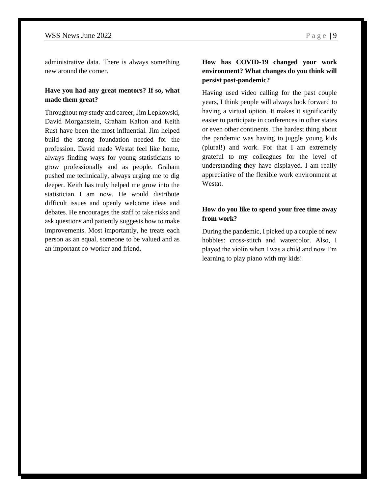administrative data. There is always something new around the corner.

#### **Have you had any great mentors? If so, what made them great?**

Throughout my study and career, Jim Lepkowski, David Morganstein, Graham Kalton and Keith Rust have been the most influential. Jim helped build the strong foundation needed for the profession. David made Westat feel like home, always finding ways for young statisticians to grow professionally and as people. Graham pushed me technically, always urging me to dig deeper. Keith has truly helped me grow into the statistician I am now. He would distribute difficult issues and openly welcome ideas and debates. He encourages the staff to take risks and ask questions and patiently suggests how to make improvements. Most importantly, he treats each person as an equal, someone to be valued and as an important co-worker and friend.

# **How has COVID-19 changed your work environment? What changes do you think will persist post-pandemic?**

Having used video calling for the past couple years, I think people will always look forward to having a virtual option. It makes it significantly easier to participate in conferences in other states or even other continents. The hardest thing about the pandemic was having to juggle young kids (plural!) and work. For that I am extremely grateful to my colleagues for the level of understanding they have displayed. I am really appreciative of the flexible work environment at **Westat** 

## **How do you like to spend your free time away from work?**

During the pandemic, I picked up a couple of new hobbies: cross-stitch and watercolor. Also, I played the violin when I was a child and now I'm learning to play piano with my kids!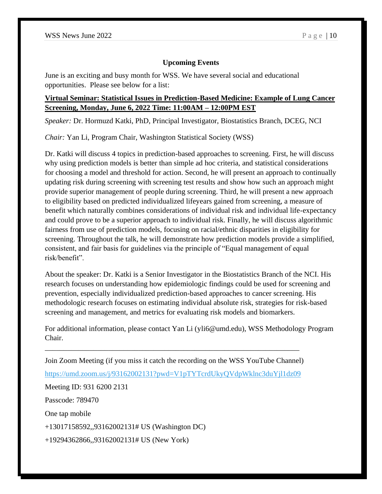#### **Upcoming Events**

June is an exciting and busy month for WSS. We have several social and educational opportunities. Please see below for a list:

# **Virtual Seminar: Statistical Issues in Prediction-Based Medicine: Example of Lung Cancer Screening, Monday, June 6, 2022 Time: 11:00AM – 12:00PM EST**

*Speaker:* Dr. Hormuzd Katki, PhD, Principal Investigator, Biostatistics Branch, DCEG, NCI

*Chair:* Yan Li, Program Chair, Washington Statistical Society (WSS)

Dr. Katki will discuss 4 topics in prediction-based approaches to screening. First, he will discuss why using prediction models is better than simple ad hoc criteria, and statistical considerations for choosing a model and threshold for action. Second, he will present an approach to continually updating risk during screening with screening test results and show how such an approach might provide superior management of people during screening. Third, he will present a new approach to eligibility based on predicted individualized lifeyears gained from screening, a measure of benefit which naturally combines considerations of individual risk and individual life-expectancy and could prove to be a superior approach to individual risk. Finally, he will discuss algorithmic fairness from use of prediction models, focusing on racial/ethnic disparities in eligibility for screening. Throughout the talk, he will demonstrate how prediction models provide a simplified, consistent, and fair basis for guidelines via the principle of "Equal management of equal risk/benefit".

About the speaker: Dr. Katki is a Senior Investigator in the Biostatistics Branch of the NCI. His research focuses on understanding how epidemiologic findings could be used for screening and prevention, especially individualized prediction-based approaches to cancer screening. His methodologic research focuses on estimating individual absolute risk, strategies for risk-based screening and management, and metrics for evaluating risk models and biomarkers.

For additional information, please contact Yan Li (yli6@umd.edu), WSS Methodology Program Chair.

Join Zoom Meeting (if you miss it catch the recording on the WSS YouTube Channel)

\_\_\_\_\_\_\_\_\_\_\_\_\_\_\_\_\_\_\_\_\_\_\_\_\_\_\_\_\_\_\_\_\_\_\_\_\_\_\_\_\_\_\_\_\_\_\_\_\_\_\_\_\_\_\_\_\_\_\_\_\_\_\_\_\_\_\_\_

<https://umd.zoom.us/j/93162002131?pwd=V1pTYTcrdUkyQVdpWklnc3duYjl1dz09>

Meeting ID: 931 6200 2131

Passcode: 789470

One tap mobile

+13017158592,,93162002131# US (Washington DC)

+19294362866,,93162002131# US (New York)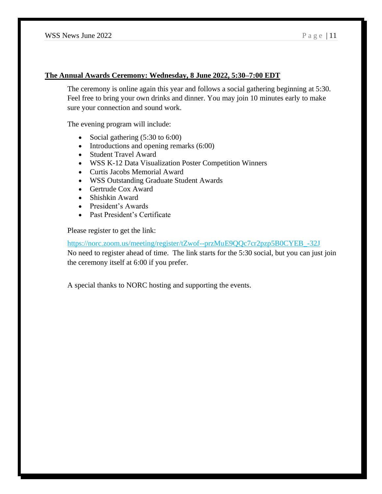#### **The Annual Awards Ceremony: Wednesday, 8 June 2022, 5:30–7:00 EDT**

The ceremony is online again this year and follows a social gathering beginning at 5:30. Feel free to bring your own drinks and dinner. You may join 10 minutes early to make sure your connection and sound work.

The evening program will include:

- Social gathering  $(5:30 \text{ to } 6:00)$
- Introductions and opening remarks (6:00)
- Student Travel Award
- WSS K-12 Data Visualization Poster Competition Winners
- Curtis Jacobs Memorial Award
- WSS Outstanding Graduate Student Awards
- Gertrude Cox Award
- Shishkin Award
- President's Awards
- Past President's Certificate

Please register to get the link:

[https://norc.zoom.us/meeting/register/tZwof--przMuE9QQc7cr2pzp5B0CYEB\\_-32J](https://norc.zoom.us/meeting/register/tZwof--przMuE9QQc7cr2pzp5B0CYEB_-32J) No need to register ahead of time. The link starts for the 5:30 social, but you can just join the ceremony itself at 6:00 if you prefer.

A special thanks to NORC hosting and supporting the events.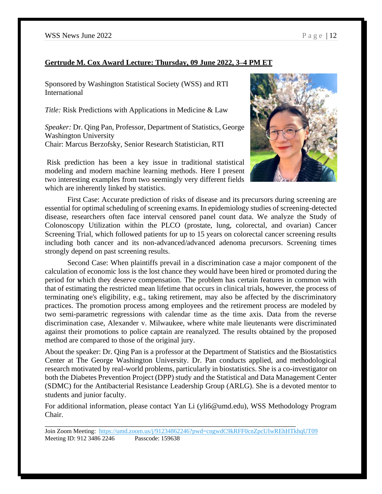# **Gertrude M. Cox Award Lecture: Thursday, 09 June 2022, 3–4 PM ET**

Sponsored by Washington Statistical Society (WSS) and RTI International

*Title:* Risk Predictions with Applications in Medicine & Law

*Speaker:* Dr. Qing Pan, Professor, Department of Statistics, George Washington University Chair: Marcus Berzofsky, Senior Research Statistician, RTI

Risk prediction has been a key issue in traditional statistical modeling and modern machine learning methods. Here I present two interesting examples from two seemingly very different fields which are inherently linked by statistics.



First Case: Accurate prediction of risks of disease and its precursors during screening are essential for optimal scheduling of screening exams. In epidemiology studies of screening-detected disease, researchers often face interval censored panel count data. We analyze the Study of Colonoscopy Utilization within the PLCO (prostate, lung, colorectal, and ovarian) Cancer Screening Trial, which followed patients for up to 15 years on colorectal cancer screening results including both cancer and its non-advanced/advanced adenoma precursors. Screening times strongly depend on past screening results.

Second Case: When plaintiffs prevail in a discrimination case a major component of the calculation of economic loss is the lost chance they would have been hired or promoted during the period for which they deserve compensation. The problem has certain features in common with that of estimating the restricted mean lifetime that occurs in clinical trials, however, the process of terminating one's eligibility, e.g., taking retirement, may also be affected by the discriminatory practices. The promotion process among employees and the retirement process are modeled by two semi-parametric regressions with calendar time as the time axis. Data from the reverse discrimination case, Alexander v. Milwaukee, where white male lieutenants were discriminated against their promotions to police captain are reanalyzed. The results obtained by the proposed method are compared to those of the original jury.

About the speaker: Dr. Qing Pan is a professor at the Department of Statistics and the Biostatistics Center at The George Washington University. Dr. Pan conducts applied, and methodological research motivated by real-world problems, particularly in biostatistics. She is a co-investigator on both the Diabetes Prevention Project (DPP) study and the Statistical and Data Management Center (SDMC) for the Antibacterial Resistance Leadership Group (ARLG). She is a devoted mentor to students and junior faculty.

For additional information, please contact Yan Li (yli6@umd.edu), WSS Methodology Program Chair.

\_\_\_\_\_\_\_\_\_\_\_\_\_\_\_\_\_\_\_\_\_\_\_\_\_\_\_\_\_\_\_\_\_\_\_\_\_\_\_\_\_\_\_\_\_\_\_\_\_\_\_\_\_\_\_\_\_\_\_\_\_\_\_\_\_\_\_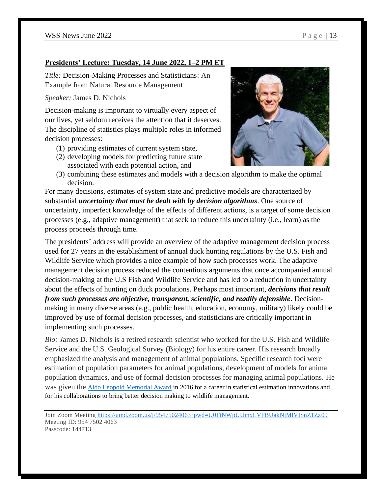### **Presidents' Lecture: Tuesday, 14 June 2022, 1–2 PM ET**

*Title:* Decision-Making Processes and Statisticians: An Example from Natural Resource Management

*Speaker:* James D. Nichols

Decision-making is important to virtually every aspect of our lives, yet seldom receives the attention that it deserves. The discipline of statistics plays multiple roles in informed decision processes:

- (1) providing estimates of current system state,
- (2) developing models for predicting future state associated with each potential action, and



(3) combining these estimates and models with a decision algorithm to make the optimal decision.

For many decisions, estimates of system state and predictive models are characterized by substantial *uncertainty that must be dealt with by decision algorithms*. One source of uncertainty, imperfect knowledge of the effects of different actions, is a target of some decision processes (e.g., adaptive management) that seek to reduce this uncertainty (i.e., learn) as the process proceeds through time.

The presidents' address will provide an overview of the adaptive management decision process used for 27 years in the establishment of annual duck hunting regulations by the U.S. Fish and Wildlife Service which provides a nice example of how such processes work. The adaptive management decision process reduced the contentious arguments that once accompanied annual decision-making at the U.S Fish and Wildlife Service and has led to a reduction in uncertainty about the effects of hunting on duck populations. Perhaps most important, *decisions that result from such processes are objective, transparent, scientific, and readily defensible*. Decisionmaking in many diverse areas (e.g., public health, education, economy, military) likely could be improved by use of formal decision processes, and statisticians are critically important in implementing such processes.

*Bio: J*ames D. Nichols is a retired research scientist who worked for the U.S. Fish and Wildlife Service and the U.S. Geological Survey (Biology) for his entire career. His research broadly emphasized the analysis and management of animal populations. Specific research foci were estimation of population parameters for animal populations, development of models for animal population dynamics, and use of formal decision processes for managing animal populations. He was given the [Aldo Leopold Memorial Award](https://wildlife.org/nichols-to-deliver-aldo-leopold-keynote-address-in-raleigh/) in 2016 for a career in statistical estimation innovations and for his collaborations to bring better decision making to wildlife management.

Join Zoom Meeting [https://umd.zoom.us/j/95475024063?pwd=U0FiNWpUUmxLVFBUakNjMlVISnZ1Zz09](https://nam04.safelinks.protection.outlook.com/?url=https%3A%2F%2Fwww.google.com%2Furl%3Fq%3Dhttps%3A%2F%2Fumd.zoom.us%2Fj%2F95475024063%3Fpwd%253DU0FiNWpUUmxLVFBUakNjMlVISnZ1Zz09%26sa%3DD%26source%3Dcalendar%26usd%3D2%26usg%3DAOvVaw2BnNDZFuMTQNi0IkleGuzn&data=05%7C01%7Caamaya%40pewresearch.org%7Cfce3dad841cf48239f6108da457f7a51%7C95cf77fc02904b23b257df0a6fd7595d%7C0%7C0%7C637898711069257896%7CUnknown%7CTWFpbGZsb3d8eyJWIjoiMC4wLjAwMDAiLCJQIjoiV2luMzIiLCJBTiI6Ik1haWwiLCJXVCI6Mn0%3D%7C3000%7C%7C%7C&sdata=zUyaij87ZtxnWtb%2BiEFWoZxyr8DxDtLNVid8eiAgs%2F0%3D&reserved=0) Meeting ID: 954 7502 4063 Passcode: 144713